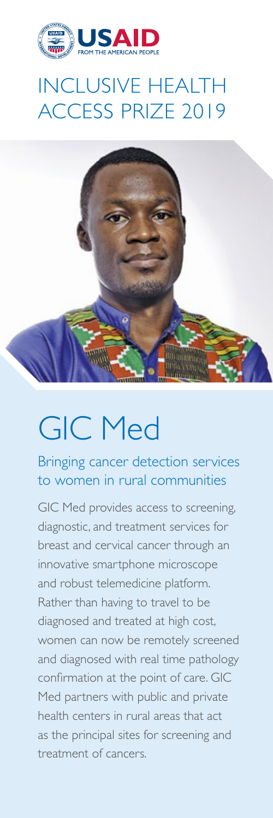

## **INCLUSIVE HEALTH** ACCESS PRIZE 2019



# GIC Med

Bringing cancer detection services to women in rural communities

GIC Med provides access to screening, diagnostic, and treatment services for breast and cervical cancer through an innovative smartphone microscope and robust telemedicine platform. Rather than having to travel to be diagnosed and treated at high cost, women can now be remotely screened and diagnosed with real time pathology confirmation at the point of care. GIC Med partners with public and private health centers in rural areas that act as the principal sites for screening and treatment of cancers.